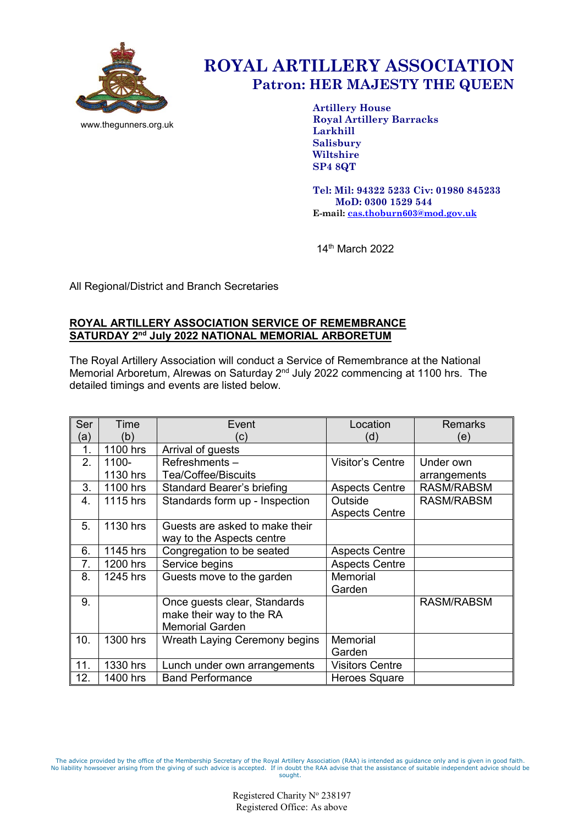

www.thegunners.org.uk

# **ROYAL ARTILLERY ASSOCIATION Patron: HER MAJESTY THE QUEEN**

**Artillery House Royal Artillery Barracks Larkhill Salisbury Wiltshire SP4 8QT**

**Tel: Mil: 94322 5233 Civ: 01980 845233 MoD: 0300 1529 544 E-mail: [cas.thoburn603@mod.gov.uk](mailto:cas.thoburn603@mod.gov.uk)**

14th March 2022

All Regional/District and Branch Secretaries

# **ROYAL ARTILLERY ASSOCIATION SERVICE OF REMEMBRANCE SATURDAY 2nd July 2022 NATIONAL MEMORIAL ARBORETUM**

The Royal Artillery Association will conduct a Service of Remembrance at the National Memorial Arboretum, Alrewas on Saturday 2nd July 2022 commencing at 1100 hrs. The detailed timings and events are listed below.

| Ser | Time     | Event                             | Location                | <b>Remarks</b>    |
|-----|----------|-----------------------------------|-------------------------|-------------------|
| (a) | (b)      | $\left( \mathrm{c}\right)$        | (d)                     | (e)               |
| 1.  | 1100 hrs | Arrival of guests                 |                         |                   |
| 2.  | 1100-    | Refreshments-                     | <b>Visitor's Centre</b> | Under own         |
|     | 1130 hrs | Tea/Coffee/Biscuits               |                         | arrangements      |
| 3.  | 1100 hrs | <b>Standard Bearer's briefing</b> | <b>Aspects Centre</b>   | <b>RASM/RABSM</b> |
| 4.  | 1115 hrs | Standards form up - Inspection    | Outside                 | <b>RASM/RABSM</b> |
|     |          |                                   | <b>Aspects Centre</b>   |                   |
| 5.  | 1130 hrs | Guests are asked to make their    |                         |                   |
|     |          | way to the Aspects centre         |                         |                   |
| 6.  | 1145 hrs | Congregation to be seated         | <b>Aspects Centre</b>   |                   |
| 7.  | 1200 hrs | Service begins                    | <b>Aspects Centre</b>   |                   |
| 8.  | 1245 hrs | Guests move to the garden         | Memorial                |                   |
|     |          |                                   | Garden                  |                   |
| 9.  |          | Once guests clear, Standards      |                         | <b>RASM/RABSM</b> |
|     |          | make their way to the RA          |                         |                   |
|     |          | <b>Memorial Garden</b>            |                         |                   |
| 10. | 1300 hrs | Wreath Laying Ceremony begins     | Memorial                |                   |
|     |          |                                   | Garden                  |                   |
| 11. | 1330 hrs | Lunch under own arrangements      | <b>Visitors Centre</b>  |                   |
| 12. | 1400 hrs | <b>Band Performance</b>           | Heroes Square           |                   |

The advice provided by the office of the Membership Secretary of the Royal Artillery Association (RAA) is intended as guidance only and is given in good faith.<br>No liability howsoever arising from the giving of such advice sought.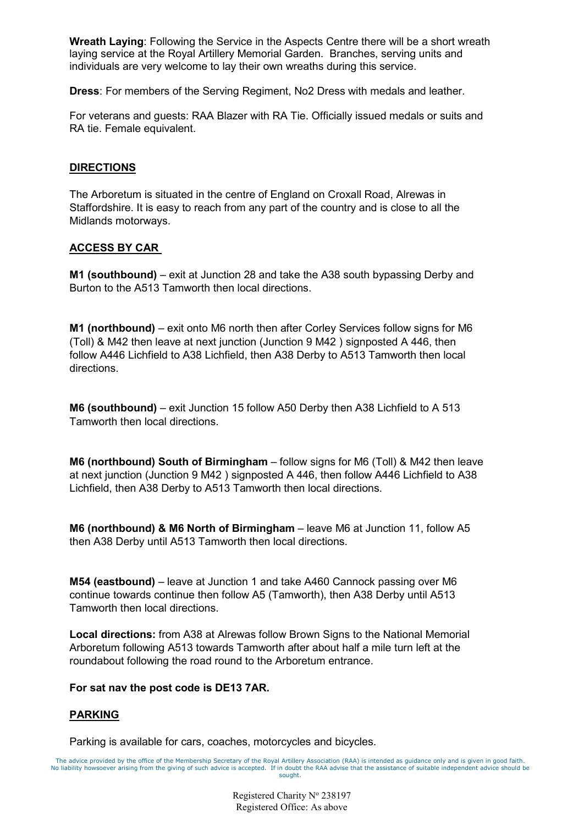**Wreath Laying**: Following the Service in the Aspects Centre there will be a short wreath laying service at the Royal Artillery Memorial Garden. Branches, serving units and individuals are very welcome to lay their own wreaths during this service.

**Dress**: For members of the Serving Regiment, No2 Dress with medals and leather.

For veterans and guests: RAA Blazer with RA Tie. Officially issued medals or suits and RA tie. Female equivalent.

#### **DIRECTIONS**

The Arboretum is situated in the centre of England on Croxall Road, Alrewas in Staffordshire. It is easy to reach from any part of the country and is close to all the Midlands motorways.

### **ACCESS BY CAR**

**M1 (southbound)** – exit at Junction 28 and take the A38 south bypassing Derby and Burton to the A513 Tamworth then local directions.

**M1 (northbound)** – exit onto M6 north then after Corley Services follow signs for M6 (Toll) & M42 then leave at next junction (Junction 9 M42 ) signposted A 446, then follow A446 Lichfield to A38 Lichfield, then A38 Derby to A513 Tamworth then local directions.

**M6 (southbound)** – exit Junction 15 follow A50 Derby then A38 Lichfield to A 513 Tamworth then local directions.

**M6 (northbound) South of Birmingham** – follow signs for M6 (Toll) & M42 then leave at next junction (Junction 9 M42 ) signposted A 446, then follow A446 Lichfield to A38 Lichfield, then A38 Derby to A513 Tamworth then local directions.

**M6 (northbound) & M6 North of Birmingham** – leave M6 at Junction 11, follow A5 then A38 Derby until A513 Tamworth then local directions.

**M54 (eastbound)** – leave at Junction 1 and take A460 Cannock passing over M6 continue towards continue then follow A5 (Tamworth), then A38 Derby until A513 Tamworth then local directions.

**Local directions:** from A38 at Alrewas follow Brown Signs to the National Memorial Arboretum following A513 towards Tamworth after about half a mile turn left at the roundabout following the road round to the Arboretum entrance.

#### **For sat nav the post code is DE13 7AR.**

## **PARKING**

Parking is available for cars, coaches, motorcycles and bicycles.

The advice provided by the office of the Membership Secretary of the Royal Artillery Association (RAA) is intended as guidance only and is given in good faith. No liability howsoever arising from the giving of such advice is accepted. If in doubt the RAA advise that the assistance of suitable independent advice should be sought.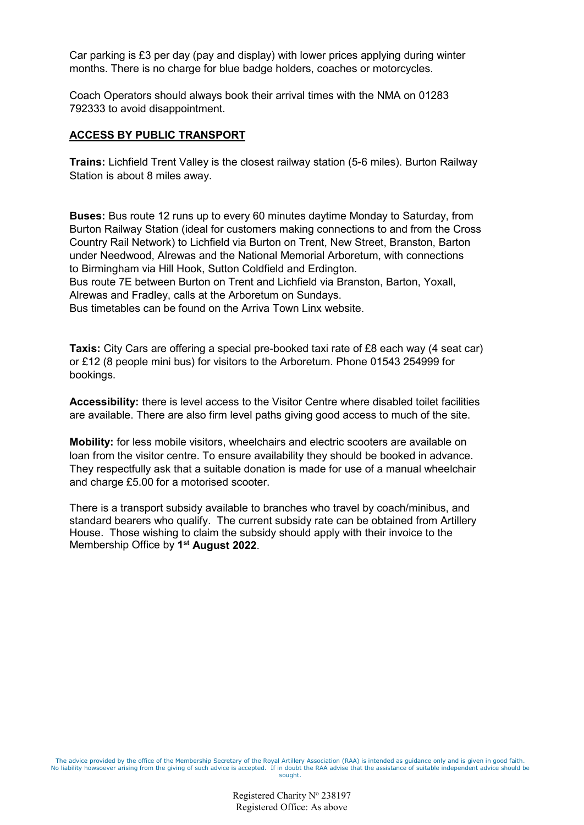Car parking is £3 per day (pay and display) with lower prices applying during winter months. There is no charge for blue badge holders, coaches or motorcycles.

Coach Operators should always book their arrival times with the NMA on 01283 792333 to avoid disappointment.

#### **ACCESS BY PUBLIC TRANSPORT**

**Trains:** Lichfield Trent Valley is the closest railway station (5-6 miles). Burton Railway Station is about 8 miles away.

**Buses:** Bus route 12 runs up to every 60 minutes daytime Monday to Saturday, from Burton Railway Station (ideal for customers making connections to and from the Cross Country Rail Network) to Lichfield via Burton on Trent, New Street, Branston, Barton under Needwood, Alrewas and the National Memorial Arboretum, with connections to Birmingham via Hill Hook, Sutton Coldfield and Erdington.

Bus route 7E between Burton on Trent and Lichfield via Branston, Barton, Yoxall, Alrewas and Fradley, calls at the Arboretum on Sundays.

Bus timetables can be found on the [Arriva Town Linx website.](http://www.arrivabus.co.uk/serviceInformation.aspx?id=2417)

**Taxis:** City Cars are offering a special pre-booked taxi rate of £8 each way (4 seat car) or £12 (8 people mini bus) for visitors to the Arboretum. Phone 01543 254999 for bookings.

**Accessibility:** there is level access to the Visitor Centre where disabled toilet facilities are available. There are also firm level paths giving good access to much of the site.

**Mobility:** for less mobile visitors, wheelchairs and electric scooters are available on loan from the visitor centre. To ensure availability they should be booked in advance. They respectfully ask that a suitable donation is made for use of a manual wheelchair and charge £5.00 for a motorised scooter.

There is a transport subsidy available to branches who travel by coach/minibus, and standard bearers who qualify. The current subsidy rate can be obtained from Artillery House. Those wishing to claim the subsidy should apply with their invoice to the Membership Office by **1st August 2022**.

The advice provided by the office of the Membership Secretary of the Royal Artillery Association (RAA) is intended as guidance only and is given in good faith. No liability howsoever arising from the giving of such advice is accepted. If in doubt the RAA advise that the assistance of suitable independent advice should be sought.